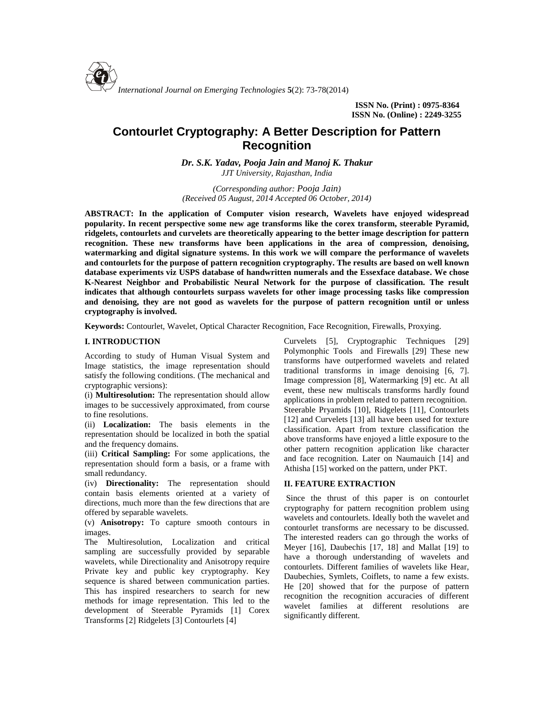

**ISSN No. (Print) : 0975-8364 ISSN No. (Online) : 2249-3255**

# **Contourlet Cryptography: A Better Description for Pattern Recognition**

*Dr. S.K. Yadav, Pooja Jain and Manoj K. Thakur JJT University, Rajasthan, India*

*(Corresponding author: Pooja Jain) (Received 05 August, 2014 Accepted 06 October, 2014)*

**ABSTRACT: In the application of Computer vision research, Wavelets have enjoyed widespread popularity. In recent perspective some new age transforms like the corex transform, steerable Pyramid, ridgelets, contourlets and curvelets are theoretically appearing to the better image description for pattern recognition. These new transforms have been applications in the area of compression, denoising, watermarking and digital signature systems. In this work we will compare the performance of wavelets and contourlets for the purpose of pattern recognition cryptography. The results are based on well known database experiments viz USPS database of handwritten numerals and the Essexface database. We chose K-Nearest Neighbor and Probabilistic Neural Network for the purpose of classification. The result indicates that although contourlets surpass wavelets for other image processing tasks like compression and denoising, they are not good as wavelets for the purpose of pattern recognition until or unless cryptography is involved.**

**Keywords:** Contourlet, Wavelet, Optical Character Recognition, Face Recognition, Firewalls, Proxying*.*

### **I. INTRODUCTION**

According to study of Human Visual System and Image statistics, the image representation should satisfy the following conditions. (The mechanical and cryptographic versions):

(i) **Multiresolution:** The representation should allow images to be successively approximated, from course to fine resolutions.

(ii) **Localization:** The basis elements in the representation should be localized in both the spatial and the frequency domains.

(iii) **Critical Sampling:** For some applications, the representation should form a basis, or a frame with small redundancy.

(iv) **Directionality:** The representation should contain basis elements oriented at a variety of directions, much more than the few directions that are offered by separable wavelets.

(v) **Anisotropy:** To capture smooth contours in images.

The Multiresolution, Localization and critical sampling are successfully provided by separable wavelets, while Directionality and Anisotropy require Private key and public key cryptography. Key sequence is shared between communication parties. This has inspired researchers to search for new methods for image representation. This led to the development of Steerable Pyramids [1] Corex Transforms [2] Ridgelets [3] Contourlets [4]

Curvelets [5], Cryptographic Techniques [29] Polymonphic Tools and Firewalls [29] These new transforms have outperformed wavelets and related traditional transforms in image denoising [6, 7]. Image compression [8], Watermarking [9] etc. At all event, these new multiscals transforms hardly found applications in problem related to pattern recognition. Steerable Pryamids [10], Ridgelets [11], Contourlets [12] and Curvelets [13] all have been used for texture classification. Apart from texture classification the above transforms have enjoyed a little exposure to the other pattern recognition application like character and face recognition. Later on Naumauich [14] and Athisha [15] worked on the pattern, under PKT.

### **II. FEATURE EXTRACTION**

Since the thrust of this paper is on contourlet cryptography for pattern recognition problem using wavelets and contourlets. Ideally both the wavelet and contourlet transforms are necessary to be discussed. The interested readers can go through the works of Meyer [16], Daubechis [17, 18] and Mallat [19] to have a thorough understanding of wavelets and contourlets. Different families of wavelets like Hear, Daubechies, Symlets, Coiflets, to name a few exists. He [20] showed that for the purpose of pattern recognition the recognition accuracies of different wavelet families at different resolutions are significantly different.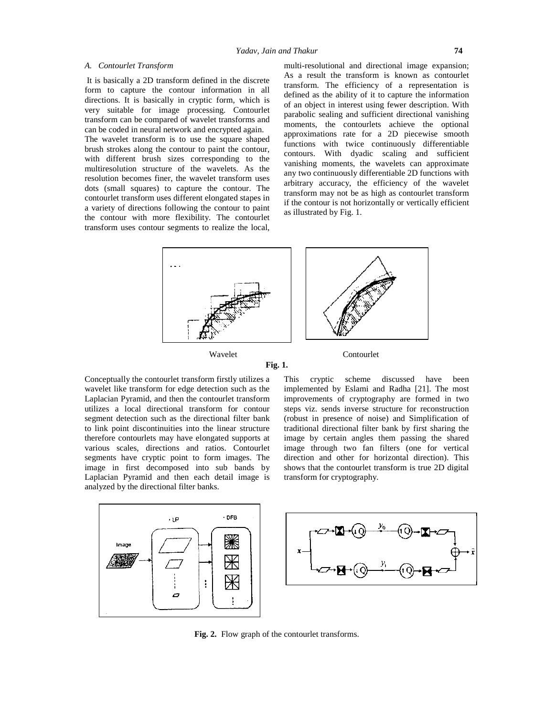### *A. Contourlet Transform*

It is basically a 2D transform defined in the discrete form to capture the contour information in all directions. It is basically in cryptic form, which is very suitable for image processing. Contourlet transform can be compared of wavelet transforms and can be coded in neural network and encrypted again. The wavelet transform is to use the square shaped brush strokes along the contour to paint the contour, with different brush sizes corresponding to the multiresolution structure of the wavelets. As the resolution becomes finer, the wavelet transform uses dots (small squares) to capture the contour. The contourlet transform uses different elongated stapes in a variety of directions following the contour to paint the contour with more flexibility. The contourlet transform uses contour segments to realize the local,

multi-resolutional and directional image expansion; As a result the transform is known as contourlet transform. The efficiency of a representation is defined as the ability of it to capture the information of an object in interest using fewer description. With parabolic sealing and sufficient directional vanishing moments, the contourlets achieve the optional approximations rate for a 2D piecewise smooth functions with twice continuously differentiable contours. With dyadic scaling and sufficient vanishing moments, the wavelets can approximate any two continuously differentiable 2D functions with arbitrary accuracy, the efficiency of the wavelet transform may not be as high as contourlet transform if the contour is not horizontally or vertically efficient as illustrated by Fig. 1.





Conceptually the contourlet transform firstly utilizes a wavelet like transform for edge detection such as the Laplacian Pyramid, and then the contourlet transform utilizes a local directional transform for contour segment detection such as the directional filter bank to link point discontinuities into the linear structure therefore contourlets may have elongated supports at various scales, directions and ratios. Contourlet segments have cryptic point to form images. The image in first decomposed into sub bands by Laplacian Pyramid and then each detail image is analyzed by the directional filter banks.

This cryptic scheme discussed have been implemented by Eslami and Radha [21]. The most improvements of cryptography are formed in two steps viz. sends inverse structure for reconstruction (robust in presence of noise) and Simplification of traditional directional filter bank by first sharing the image by certain angles them passing the shared image through two fan filters (one for vertical direction and other for horizontal direction). This shows that the contourlet transform is true 2D digital transform for cryptography.



**Fig. 2.** Flow graph of the contourlet transforms.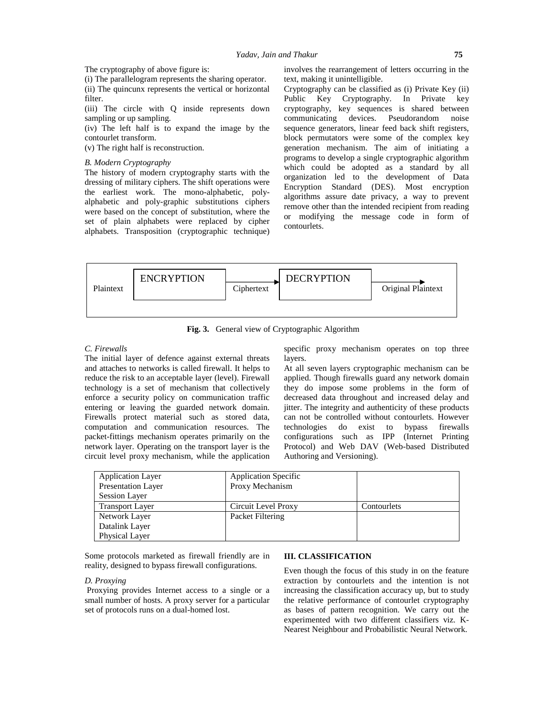The cryptography of above figure is:

(i) The parallelogram represents the sharing operator. (ii) The quincunx represents the vertical or horizontal

filter. (iii) The circle with Q inside represents down sampling or up sampling.

(iv) The left half is to expand the image by the contourlet transform.

(v) The right half is reconstruction.

# *B. Modern Cryptography*

The history of modern cryptography starts with the dressing of military ciphers. The shift operations were the earliest work. The mono-alphabetic, poly alphabetic and poly-graphic substitutions ciphers were based on the concept of substitution, where the set of plain alphabets were replaced by cipher alphabets. Transposition (cryptographic technique) involves the rearrangement of letters occurring in the text, making it unintelligible.

Cryptography can be classified as (i) Private Key (ii) Public Key Cryptography. In Private key cryptography, key sequences is shared between communicating devices. Pseudorandom noise sequence generators, linear feed back shift registers, block permutators were some of the complex key generation mechanism. The aim of initiating a programs to develop a single cryptographic algorithm which could be adopted as a standard by all organization led to the development of Data Encryption Standard (DES). Most encryption algorithms assure date privacy, a way to prevent remove other than the intended recipient from reading or modifying the message code in form of contourlets.



**Fig. 3.** General view of Cryptographic Algorithm

### *C. Firewalls*

The initial layer of defence against external threats and attaches to networks is called firewall. It helps to reduce the risk to an acceptable layer (level). Firewall technology is a set of mechanism that collectively enforce a security policy on communication traffic entering or leaving the guarded network domain. Firewalls protect material such as stored data, computation and communication resources. The packet-fittings mechanism operates primarily on the network layer. Operating on the transport layer is the circuit level proxy mechanism, while the application

specific proxy mechanism operates on top three layers.

At all seven layers cryptographic mechanism can be applied. Though firewalls guard any network domain they do impose some problems in the form of decreased data throughout and increased delay and jitter. The integrity and authenticity of these products can not be controlled without contourlets. However do exist to bypass firewalls configurations such as IPP (Internet Printing Protocol) and Web DAV (Web-based Distributed Authoring and Versioning).

| <b>Application Layer</b>  | <b>Application Specific</b> |             |
|---------------------------|-----------------------------|-------------|
| <b>Presentation Layer</b> | Proxy Mechanism             |             |
| <b>Session Layer</b>      |                             |             |
| <b>Transport Layer</b>    | Circuit Level Proxy         | Contourlets |
| Network Layer             | Packet Filtering            |             |
| Datalink Layer            |                             |             |
| Physical Layer            |                             |             |

Some protocols marketed as firewall friendly are in reality, designed to bypass firewall configurations.

# *D. Proxying*

Proxying provides Internet access to a single or a small number of hosts. A proxy server for a particular set of protocols runs on a dual-homed lost.

### **III. CLASSIFICATION**

Even though the focus of this study in on the feature extraction by contourlets and the intention is not increasing the classification accuracy up, but to study the relative performance of contourlet cryptography as bases of pattern recognition. We carry out the experimented with two different classifiers viz. K- Nearest Neighbour and Probabilistic Neural Network.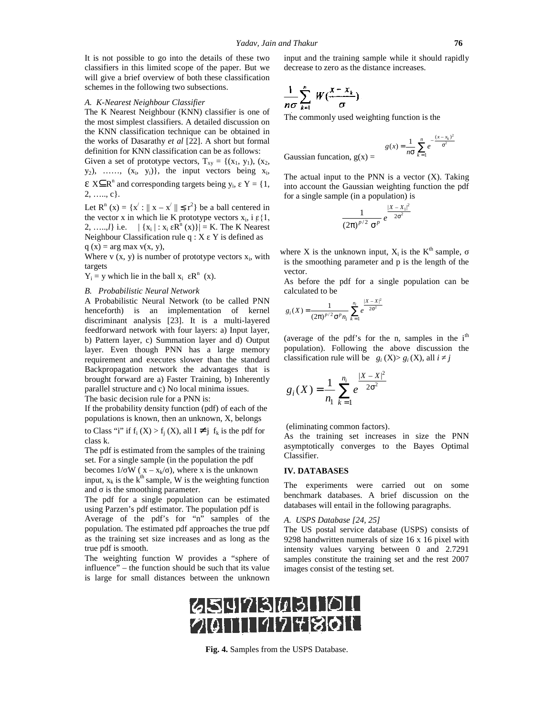It is not possible to go into the details of these two classifiers in this limited scope of the paper. But we will give a brief overview of both these classification schemes in the following two subsections.

#### *A. K-Nearest Neighbour Classifier*

A. K-Nearest Neighbour Classifier<br>The K Nearest Neighbour (KNN) classifier is one of the most simplest classifiers. A detailed discussion on the KNN classification technique can be obtained in the works of Dasarathy *et al* [22]. A short but formal definition for KNN classification can be as follows:

Given a set of prototype vectors,  $T_{xy} = \{(x_1, y_1), (x_2,$  $y_2$ ), ……,  $(x_i, y_i)$ }, the input vectors being  $x_i$ ,

 $X \subseteq R^n$  and corresponding targets being  $y_i$ ,  $Y = \{1, i\}$ 2, ….., c}.

Let  $\mathbb{R}^n$  (x) = {x' :  $||x - x'|| \le r^2$ } be a ball centered in the vector x in which lie K prototype vectors  $x_i$ , i  $\{1,$ 2, ....,*l*} i.e.  $|\{x_i | : x_i \mathbb{R}^n(x)\}| = K$ . The K Nearest Neighbour Classification rule  $q : X \ Y$  is defined as  $q(x) = arg max v(x, y)$ ,

Where v  $(x, y)$  is number of prototype vectors  $x_i$ , with targets

 $Y_i = y$  which lie in the ball  $x_i$   $R^n$  (x).

#### *B. Probabilistic Neural Network*

A Probabilistic Neural Network (to be called PNN henceforth) is an implementation of kernel discriminant analysis [23]. It is a multi-layered feedforward network with four layers: a) Input layer, b) Pattern layer, c) Summation layer and d) Output layer. Even though PNN has a large memory requirement and executes slower than the standard Backpropagation network the advantages that is brought forward are a) Faster Training, b) Inherently parallel structure and c) No local minima issues. The basic decision rule for a PNN is:

If the probability density function (pdf) of each of the populations is known, then an unknown, X, belongs

to Class "i" if  $f_i$  (X) >  $f_i$  (X), all  $I \neq j$   $f_k$  is the pdf for class k.

The pdf is estimated from the samples of the training set. For a single sample (in the population the pdf

becomes 1/ W ( $x - x_k/$ ), where x is the unknown input,  $x_k$  is the  $k^{th}$  sample, W is the weighting function and is the smoothing parameter.

The pdf for a single population can be estimated using Parzen's pdf estimator. The population pdf is Average of the pdf's for "n" samples of the population. The estimated pdf approaches the true pdf as the training set size increases and as long as the true pdf is smooth.

The weighting function W provides a "sphere of influence" – the function should be such that its value is large for small distances between the unknown input and the training sample while it should rapidly decrease to zero as the distance increases. 76<br>
uld rapidly<br>
the<br>
the<br>  $-\frac{(x-x_k)^2}{\sigma^2}$ <br>
X). Taking<br>
is the ndf

$$
\frac{1}{n\sigma}\sum_{k=1}^n W(\frac{x-x_k}{\sigma}).
$$

The commonly used weighting function is the

76  
\nuple while it should rapidly  
\nance increases.  
\n
$$
g(x) = \frac{1}{n\sigma} \sum_{k=1}^{n} e^{-\frac{(x - x_k)^2}{\sigma^2}}
$$
\n
$$
N N \text{ is a vector (X). Taking}
$$

2

Gaussian funcation,  $g(x) =$ 

76<br>while it should rapidly<br>increases.<br>function is the<br> $(x) = \frac{1}{n\sigma} \sum_{k=1}^{n} e^{-\frac{(x - x_k)^2}{\sigma^2}}$ <br>s a vector (X). Taking<br>ghting function the pdf<br>tion) is<br> $\frac{x - x_1|^2}{\sigma^2}$ 76<br> *k* while it should rapidly<br> *g* tincreases.<br> *g* (*x*) =  $\frac{1}{n\sigma} \sum_{k=1}^{n} e^{-\frac{(x - x_k)^2}{\sigma^2}}$ <br> *is* a vector (*X*). Taking<br> *ighting function the pdf*<br>
<u>lation</u>) is<br>
<u>[*x* - *x*<sub>1</sub><sup>2</sup></sup></u> The actual input to the PNN is a vector  $(X)$ . Taking into account the Gaussian weighting function the pdf for a single sample (in a population) is while it should rapidly<br>
e increases.<br>
g function is the<br>  $g(x) = \frac{1}{n\sigma} \sum_{k=1}^{n} e^{-\frac{(x - x_k)^2}{\sigma^2}}$ <br>
is a vector (X). Taking<br>
ghting function the pdf<br>
ation) is<br>  $\frac{|x - x_1|^2}{2\sigma^2}$ <br>  $\frac{|x - x_1|^2}{2\sigma^2}$ veighting function is the<br>  $g(x) = \frac{1}{n\sigma} \sum_{k=1}^{n} e^{-\frac{(x - x_k)^2}{\sigma^2}}$ <br>  $g(x) = \frac{1}{n\sigma} \sum_{k=1}^{n} e^{-\frac{(x - x_k)^2}{\sigma^2}}$ <br>  $g(x) = \frac{1}{n\sigma} \sum_{k=1}^{n} e^{-\frac{(x - x_k)^2}{2\sigma^2}}$ <br>  $g(x) = \frac{|x - x_k|^2}{2\sigma^2}$ <br>  $g(x) = \frac{|x - x_k|^2}{2\sigma^2}$ <br>  $g(x) = \frac{1}{n\sigma$ veighting function is the<br>  $g(x) = \frac{1}{n\sigma} \sum_{k=1}^{n} e^{-\frac{(x - x_k)^2}{\sigma^2}}$ <br>
(x) =<br> **p** PNN is a vector (X). Taking<br>
sian weighting function the pdf<br>
(a population) is<br>  $\frac{|X - X_1|^2}{\sigma^p e^{-2\sigma^2}}$ <br>
wn input,  $X_i$  is the K<sup>th</sup> sam

$$
\frac{1}{(2\pi)^{p/2} \sigma^p} e^{-\frac{|X - X_1|^2}{2\sigma^2}}
$$

76<br>
ining sample while it should rapidly<br>
as the distance increases.<br>  $\frac{x_k}{\sqrt{n}}$ <br>
Sed weighting function is the<br>  $g(x) = \frac{1}{n\sigma} \sum_{k=1}^{n} e^{-\frac{(x-x_k)^2}{\sigma^2}}$ <br>
to the PNN is a vector (X). Taking<br>
Gaussian weighting function **16**<br>
ong sample while it should rapidly<br>
the distance increases.<br>
<br> **d** weighting function is the<br>  $g(x) = \frac{1}{n\sigma} \sum_{k=1}^{n} e^{-\frac{(x - x_k)^2}{\sigma^2}}$ <br>  $g(x) =$ <br>
the PNN is a vector (X). Taking<br>
ususian weighting function the pdf<br> where X is the unknown input,  $X_i$  is the K<sup>th</sup> sample, is the smoothing parameter and p is the length of the vector. (c) =  $\cos(\lambda) = \frac{1}{2} \cos(\lambda) - \frac{1}{2} \cos(\lambda) = \frac{1}{2} \cos(\lambda) - \frac{1}{2} \cos(\lambda)$ <br>
(all population) is<br>  $\frac{|X - X_1|^2}{2\sigma^2}$ <br>
(b) input,  $X_i$  is the K<sup>th</sup> sample, eter and p is the length of the<br>
(c) a single population can be<br>
(c) a sing cation,  $g(x)$  =<br>
uput to the PNN is a vector (<br>
the Gaussian weighting funct<br>
ample (in a population) is<br>  $\frac{1}{(2\pi)^{p/2} \sigma^p} e^{\frac{|X-X_1|^2}{2\sigma^2}}$ <br>
e unknown input,  $X_i$  is the  $K^d$ <br>
ing parameter and p is the les<br>
the p  $\sigma$   $\sum_{k=1}^{n} W(\frac{x - x_k}{\sigma})$ <br>
le commonly used weighting fu<br>
le commonly used weighting fu<br>
aussian funcation,  $g(x) =$ <br>
le actual input to the PNN is is<br>
to account the Gaussian weigh<br>
r a single sample (in a population<br> (2 )  $g(x) = \frac{g(x) - \frac{1}{n\sigma} \sum e^{i\sigma}}{n\sigma}$ <br>
the PNN is a vector (X). Taking<br>
ussian weighting function the pdf<br>
in a population) is<br>  $\frac{1}{\sigma} e^{-\frac{|X - X_1|^2}{2\sigma^2}}$ <br>
by  $\frac{f(x) - \frac{1}{\sigma^2}}{2\sigma^2}$ <br>
by  $\frac{f(x) - \frac{1}{\sigma^2}}{2\sigma^2}$ <br>
fo **i** and input to the PNN is a vector (X) the actual input to the PNN is a vector (X) the actual input to the Gaussian weighting function r a single sample (in a population) is  $\frac{1}{(2\pi)^{p/2} \sigma^p} e^{\frac{|X-X_1|^2}{2\sigma^2}}$  erec  $\frac{1}{n\sigma} \sum_{k=1}^{n} W\left(\frac{x - x_k}{\sigma}\right)$ .<br>
The commonly used weighting function is the<br> *g*(*x*) =  $\frac{1}{n\sigma} \sum_{k=1}^{n} e^{-\frac{(x - x_k)^2}{\sigma^2}}$ <br>
The actual input to the PNN is a vector (*X*). Taking<br>
the actual input to the PNN is **π** ( $\frac{1}{\sigma}$ )<br>
nonly used weighting function is the<br>
funcation,  $g(x) = \frac{g(x) = \frac{1}{nG} \sum_{k=1}^{n} e^{\frac{(x-x_k)^2}{G^2}}}{\frac{1}{nG}}$ <br>
I input to the PNN is a vector (X). Taking<br>
nut the Gaussian weighting function the pdf<br>
is ample wn input,  $X_i$  is the<br>meter and p is the<br>or a single popul<br>or a single popul<br> $\frac{|X-X|^2}{e^{-2\sigma^2}}$ <br>is for the n, samp<br>is the n, samp<br> $\log \log_i(X) > g_i(X)$ <br> $\frac{|X-X|^2}{2\sigma^2}$ exactual input to the PNN is a v<br>
a cocount the Gaussian weightin<br>
a single sample (in a population)<br>  $\frac{1}{(2\pi)^{p/2} \sigma^p} e^{\frac{|X-X_1|}{2\sigma^2}}$ <br>
ex X is the unknown input, X<sub>i</sub> is<br>
the smoothing parameter and p i<br>
tor.<br>
bef  $(2\pi)^{p/2}$   $\sigma^p$ <br>
known input,  $X_i$  is the K<sup>th</sup> sample,<br>
parameter and p is the length of the<br>
odf for a single population can be<br>  $\frac{1}{n_i} \sum_{k=1}^{n_i} e^{\frac{|X-X|^2}{2\sigma^2}}$ <br>
pdf's for the n, samples in the i<sup>th</sup><br>
llowing The actual input to the PNN is a vector (X). Taking<br>tho account the Gaussian weighting function the pdf<br>or a single sample (in a population) is<br> $\frac{1}{(2\pi)^{p/2} \sigma^p} e^{\frac{|X - X_1|^2}{2\sigma^2}}$ <br>here X is the unknown input, X<sub>i</sub> i

As before the pdf for a single population can be calculated to be

$$
g_i(X) = \frac{1}{(2\pi)^{p/2} \sigma^p n_i} \sum_{k=1}^{n_i} e^{\frac{|X-X|^2}{2\sigma^2}}
$$

(average of the pdf's for the n, samples in the  $i<sup>th</sup>$ population). Following the above discussion the classification rule will be  $g_i(X) > g_i(X)$ , all *i j* 

$$
g_i(X) = \frac{1}{n_1} \sum_{k=1}^{n_i} e^{\frac{|X - X|^2}{2\sigma^2}}
$$

(eliminating common factors).

As the training set increases in size the PNN asymptotically converges to the Bayes Optimal Classifier.

## **IV. DATABASES**

The experiments were carried out on some benchmark databases. A brief discussion on the databases will entail in the following paragraphs.

#### *A. USPS Database [24, 25]*

The US postal service database (USPS) consists of 9298 handwritten numerals of size 16 x 16 pixel with intensity values varying between 0 and 2.7291 samples constitute the training set and the rest 2007 images consist of the testing set.



**Fig. 4.** Samples from the USPS Database.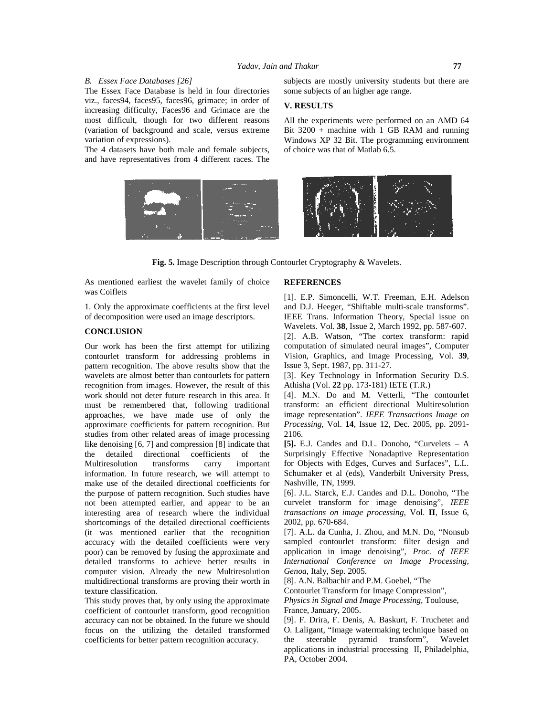# *Yadav, Jain and Thakur* **77**

### *B. Essex Face Databases [26]*

The Essex Face Database is held in four directories viz., faces94, faces95, faces96, grimace; in order of increasing difficulty, Faces96 and Grimace are the most difficult, though for two different reasons (variation of background and scale, versus extreme variation of expressions).

The 4 datasets have both male and female subjects, and have representatives from 4 different races. The subjects are mostly university students but there are some subjects of an higher age range.

# **V. RESULTS**

All the experiments were performed on an AMD 64 Bit  $3200 +$  machine with 1 GB RAM and running Windows XP 32 Bit. The programming environment of choice was that of Matlab 6.5.



**Fig. 5.** Image Description through Contourlet Cryptography & Wavelets.

As mentioned earliest the wavelet family of choice was Coiflets

1. Only the approximate coefficients at the first level of decomposition were used an image descriptors.

# **CONCLUSION**

Our work has been the first attempt for utilizing contourlet transform for addressing problems in pattern recognition. The above results show that the wavelets are almost better than contourlets for pattern recognition from images. However, the result of this work should not deter future research in this area. It must be remembered that, following traditional approaches, we have made use of only the approximate coefficients for pattern recognition. But studies from other related areas of image processing like denoising [6, 7] and compression [8] indicate that<br>the detailed directional coefficients of the the detailed directional coefficients of the Multiresolution transforms carry important information. In future research, we will attempt to make use of the detailed directional coefficients for the purpose of pattern recognition. Such studies have not been attempted earlier, and appear to be an interesting area of research where the individual shortcomings of the detailed directional coefficients (it was mentioned earlier that the recognition accuracy with the detailed coefficients were very poor) can be removed by fusing the approximate and detailed transforms to achieve better results in computer vision. Already the new Multiresolution multidirectional transforms are proving their worth in texture classification.

This study proves that, by only using the approximate coefficient of contourlet transform, good recognition accuracy can not be obtained. In the future we should focus on the utilizing the detailed transformed coefficients for better pattern recognition accuracy.

# **REFERENCES**

[1]. E.P. Simoncelli, W.T. Freeman, E.H. Adelson and D.J. Heeger, "Shiftable multi-scale transforms". IEEE Trans. Information Theory, Special issue on Wavelets. Vol. **38**, Issue 2, March 1992, pp. 587-607. [2]. A.B. Watson, "The cortex transform: rapid computation of simulated neural images", Computer Vision, Graphics, and Image Processing, Vol. **39**, Issue 3, Sept. 1987, pp. 311-27.

[3]. Key Technology in Information Security D.S. Athisha (Vol. **22** pp. 173-181) IETE (T.R.)

[4]. M.N. Do and M. Vetterli, "The contourlet transform: an efficient directional Multiresolution image representation". *IEEE Transactions Image on Processing*, Vol. **14**, Issue 12, Dec. 2005, pp. 2091- 2106.

**[5].** E.J. Candes and D.L. Donoho, "Curvelets – A Surprisingly Effective Nonadaptive Representation for Objects with Edges, Curves and Surfaces", L.L. Schumaker et al (eds), Vanderbilt University Press, Nashville, TN, 1999.

[6]. J.L. Starck, E.J. Candes and D.L. Donoho, "The curvelet transform for image denoising", *IEEE transactions on image processing*, Vol. **II**, Issue 6, 2002, pp. 670-684.

[7]. A.L. da Cunha, J. Zhou, and M.N. Do, "Nonsub sampled contourlet transform: filter design and application in image denoising", *Proc. of IEEE International Conference on Image Processing, Genoa*, Italy, Sep. 2005.

[8]. A.N. Balbachir and P.M. Goebel, "The

Contourlet Transform for Image Compression",

*Physics in Signal and Image Processing,* Toulouse, France, January, 2005.

[9]. F. Drira, F. Denis, A. Baskurt, F. Truchetet and O. Laligant, "Image watermaking technique based on the steerable pyramid transform", Wavelet applications in industrial processing II, Philadelphia, PA, October 2004.